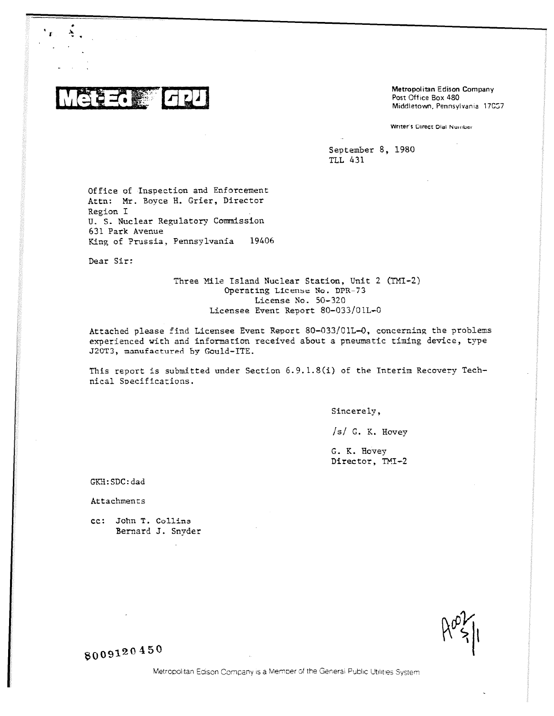27. 第二

Metropolitan Edison Company Post Office Box 480 Middletown, Pennsylvania 17057

Writer's Direct Dial Number

September 8, 1980 TLL 431

Office of Inspection and Enforcement Attn: Mr. Boyce H. Grier, Director Region I U. S. Nuclear Regulatory Commission 631 Park Avenue King of Prussia, Pennsylvania 19406

Dear Sir:

Three Mile Island Nuclear Station, Unit 2 (FM1-2) Operating License NO. DPR-73 License No. 50-320 Licensee Event Report 80-033/01L-0

Attached please find Licensee Event Report 80-033/01L-0, concerning the problems experienced with and information received about a pneumatic timing device, type J20T3, manufactured by Gould-ITE.

This report is submitted under Section 6.9.1.8(1) of the Interim Recovery Technical Specifications.

Sincerely,

/s/ G. K. Hovey

G. K. Hovey Director, TMI-2

GKH:SDC:dad

Attachments

cc: John T. Collins Bernard J. Snyder

50091 20 450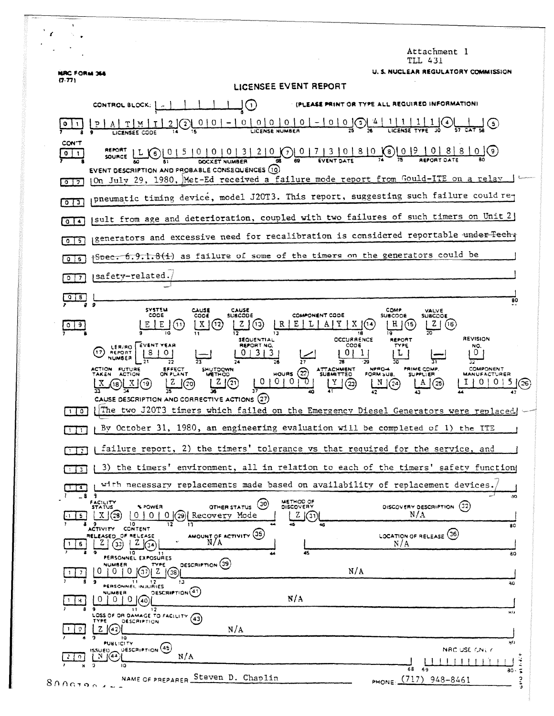|                                      | Attachment l<br>TLL 431                                                                                                                                                                                                                                                                                                                                                                                                                                                                                              |
|--------------------------------------|----------------------------------------------------------------------------------------------------------------------------------------------------------------------------------------------------------------------------------------------------------------------------------------------------------------------------------------------------------------------------------------------------------------------------------------------------------------------------------------------------------------------|
| <b>NRC FORM 366</b>                  | U. S. NUCLEAR REGULATORY COMMISSION                                                                                                                                                                                                                                                                                                                                                                                                                                                                                  |
| (7.77)                               | LICENSEE EVENT REPORT                                                                                                                                                                                                                                                                                                                                                                                                                                                                                                |
|                                      | (PLEASE PRINT OR TYPE ALL REQUIRED INFORMATION)<br>$\vert$ ( i )<br>CONTROL BLOCK:   A                                                                                                                                                                                                                                                                                                                                                                                                                               |
|                                      | $(0)0001-0000$<br>LICENSE NUMBER<br>0                                                                                                                                                                                                                                                                                                                                                                                                                                                                                |
| CON T<br>$\bullet$<br>$\mathbf{I}$   | REPORT<br>$0$ $\left( 6 \right)$<br>〔6〕<br>SOURCE                                                                                                                                                                                                                                                                                                                                                                                                                                                                    |
| $\sqrt{2}$                           | EVENT DESCRIPTION AND PROBABLE CONSEQUENCES (10)<br>(On July 29, 1980, Met-Ed received a failure mode report from Gould-ITE on a relay                                                                                                                                                                                                                                                                                                                                                                               |
| 013                                  | pneumatic timing device, model J20T3. This report, suggesting such failure could re-                                                                                                                                                                                                                                                                                                                                                                                                                                 |
| Q <sub>14</sub>                      | (sult from age and deterioration, coupled with two failures of such timers on Unit 2)                                                                                                                                                                                                                                                                                                                                                                                                                                |
| $0$ 5                                | generators and excessive need for recalibration is considered reportable under Techt                                                                                                                                                                                                                                                                                                                                                                                                                                 |
| $Q \mid 6$                           | Spec. 6.9.1.8(i) as failure of some of the timers on the generators could be                                                                                                                                                                                                                                                                                                                                                                                                                                         |
| $0$   $7$                            | safety-related.                                                                                                                                                                                                                                                                                                                                                                                                                                                                                                      |
| 8                                    | 80                                                                                                                                                                                                                                                                                                                                                                                                                                                                                                                   |
| $\begin{array}{c} 0 & 9 \end{array}$ | $\mathbf{9}$<br><b>SYSTEM</b><br>CAUSE<br>CAUSE<br>COMP<br>VALVE<br>CODE<br><b>SUBCODE</b><br>COMPONENT CODE<br>CODE<br><b>SUBCODE</b><br><b>SUBCODE</b><br>H<br>$\mathbf{X}$<br>Е<br>Z<br>(12)<br>(16)                                                                                                                                                                                                                                                                                                              |
|                                      | <b>REVISION</b><br>OCCURRENCE<br><b>SEQUENTIAL</b><br><b>REPORT</b><br>LER/RO EVENT VEAR<br>REPORT NG.<br><b>CODE</b><br>TYPE<br>NO.<br>131<br>3<br>01<br>1.<br>U<br>REPORT<br>L<br>17.<br>NUMBER<br>PRIME COMP.<br><b>COMPONENT</b><br>ACTION FUTURE<br>EFFECT<br>ON PLANT<br>SHUTDOWN<br>NPRO-4<br><b>ATTACHMENT</b><br>(22)<br>HOURS<br><b>SUBMITTED</b><br>TAKEN ACTION<br>FORM SUB.<br><b>MANUFACTURER</b><br><b>METHOD</b><br><b>SUPPLIER</b><br>0<br>0<br>$\left( 21\right)$<br>Υ<br>$\left( 22\right)$<br>25 |
| 110                                  | CAUSE DESCRIPTION AND CORRECTIVE ACTIONS (27)<br>The two J20T3 timers which failed on the Emergency Diesel Generators were replaced                                                                                                                                                                                                                                                                                                                                                                                  |
| $1 \mid 1$                           | By October 31, 1980, an engineering evaluation will be completed of 1) the ITE                                                                                                                                                                                                                                                                                                                                                                                                                                       |
| $\sqrt{2}$                           | failure report, 2) the timers' tolerance vs that required for the service, and                                                                                                                                                                                                                                                                                                                                                                                                                                       |
| 3 <sup>1</sup>                       | 3) the timers' environment, all in relation to each of the timers' safety function                                                                                                                                                                                                                                                                                                                                                                                                                                   |
| -4                                   | with necessary replacements made based on availability of replacement devices.<br>$\overline{\mathbf{3}}$<br>-8                                                                                                                                                                                                                                                                                                                                                                                                      |
| 5.                                   | 90<br>METHOD OF<br>FACILITY<br>STATUS<br>$\left( 30\right)$<br>DISCOVERY DESCRIPTION (32)<br><b><i>A POWER</i></b><br><b>DISCOVERY</b><br>OTHER STATUS<br>N/A<br>X(29)<br>0 <sup>1</sup><br>(29) Recovery Mode<br>O L<br>Z<br>0<br>((31)<br>46                                                                                                                                                                                                                                                                       |
| 6                                    | 80<br>CONTENT<br><b>ACTIVITY</b><br>AMOUNT OF ACTIVITY (35)<br>LOCATION OF RELEASE (36)<br>RELEASED OF RELEASE<br>$N/\Lambda$<br>N/A<br>( 33 )<br>45<br>۱٥                                                                                                                                                                                                                                                                                                                                                           |
|                                      | 30<br>PERSONNEL EXPOSURES<br>OESCRIPTION (39)<br>NUMBER<br>TYPE<br>N/A<br>ัรวิ<br>$\Omega$<br>Z.<br>0.<br>38)                                                                                                                                                                                                                                                                                                                                                                                                        |
| ч.                                   | 12<br>- 9<br>11<br>30<br><b>PERSONNEL INJURIES</b><br>DESCRIPTION <sup>(41)</sup><br><b>NUMBER</b><br>N/A<br>0 <sub>1</sub><br>0<br>40                                                                                                                                                                                                                                                                                                                                                                               |
| 9                                    | 12<br>ter p<br>LOSS OF OR DAMAGE TO FACILITY<br>(43)<br><b>DESCRIPTION</b><br>TYPE<br>N/A<br>z.<br>$16 - 2$                                                                                                                                                                                                                                                                                                                                                                                                          |
| $\Omega$                             | 10<br>80<br>PUBLICITY<br>ISSUED OESCRIPTION (45)<br>NAC USE CNLY<br>N/A<br>N (44)<br>$\ddot{z}$                                                                                                                                                                                                                                                                                                                                                                                                                      |
| 8000790                              | 10<br>68 69<br>$\tilde{\bullet}$<br>$30 -$<br>NAME OF PREPARER Steven D. Chaplin<br>PHONE: (717) 948-8461<br>э                                                                                                                                                                                                                                                                                                                                                                                                       |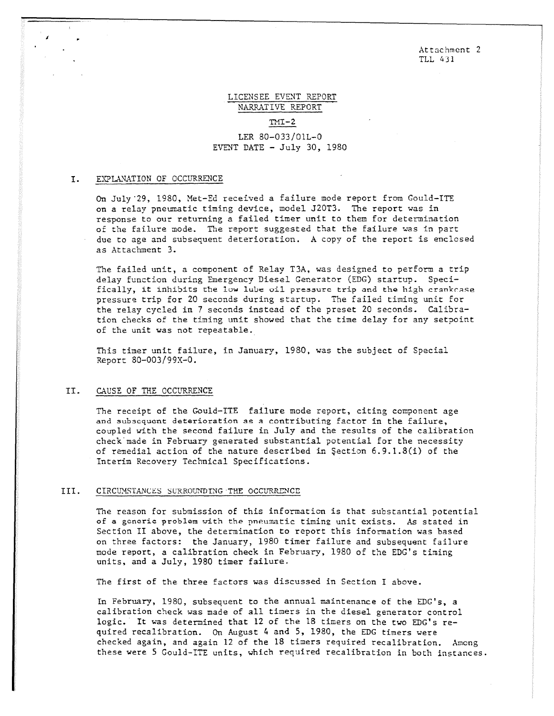Attachment 2 TLL 431

## LICENSEE EVENT REPORT 'NARRATIVE REPORT

 $TMT-2$ 

LER 80-033/01L-0 EVENT DATE  $-$  July 30, 1980

## I. EXPLANATION OF OCCURRENCE

On July 29, 1980, Met-Ed received a failure mode report from Gould-ITE on a relay pneumatic timing device, model J20T3. The report was in response to our returning a failed timer unit to them for determination of the failure mode. The report suggested that the failure was in part due to age and subsequent deterioration. A copy of the report is enclosed as Attachment 3.

The failed unit, a component of Relay T3A, was designed to perform a trip delay function during Emergency Diesel Generator (EDG) startup. Specifically, it inhibits the low lube oil pressure trip and the high crankrase pressure trip for 20 seconds during startup. The failed timing unit for the relay cycled in 7 seconds instead of the preset 20 seconds. Calibration checks of the timing unit showed that the time delay for any setpoint of the unit was not repeatable.

This timer unit failure, in January, 1980, was the subject of Special Report 80-003/99X-0.

## II. CAUSE OF THE OCCURRENCE

The receipt of the Gould-ITE failure mode report, citing component age and subsequent deterioration as a contributing factor in the failure, coupled with the second failure in July and the results of the calibration check made in February generated substantial potential for the necessity of remedial action of the nature described in Section 6.9.1.8(1) of the Interim Recovery Technical Specifications.

## III. CIRCUMSTANCES SURROUNDING THE OCCURRENCE

The reason for submission of this information is that substantial potential of a generic problem with the pneumatic timing unit exists. As stated in Section II above, the determination to report this information was based on three factors: the January, 1980 timer failure and subsequent failure mode report, a calibration check in February, 1980 of the EDG's timing units, and a July, 1980 timer failure.

The first of the three factors was discussed in Section I above.

In February, 1980, subsequent to the annual maintenance of the EDG's, a calibration check was made of all timers in the diesel generator control logic. It was determined that 12 of the 18 timers on the two EDG's required recalibration. On August 4 and 5, 1980, the EDG timers were checked again, and again 12 of the 18 timers required recalibration. Among these were 5 Gould-ITE units, which required recalibration in both instances.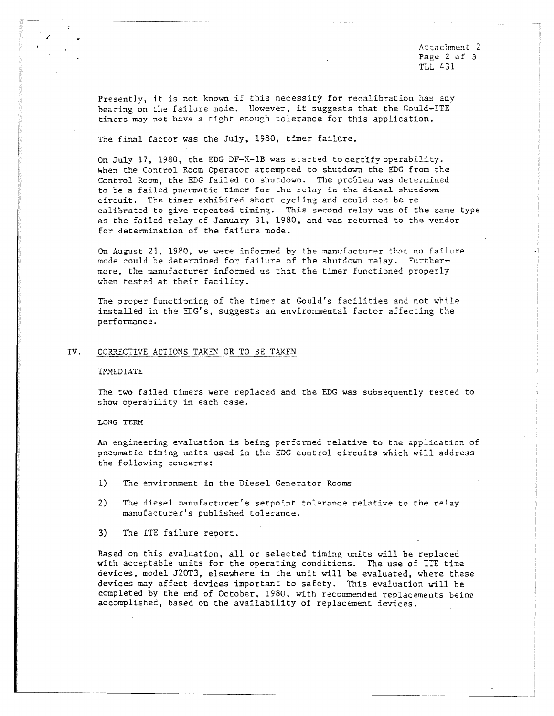Attachment 2 Page 2 of 3 TLL 431

Presently, it is not known if this necessity for recalibration has any bearing on the failure mode. However, it suggests that the Gould-ITE timers may not have a tight enough tolerance for this application.

The final factor was the July, 1980, timer failure.

On July 17, 1980, the EDG DF-X-1B was started to certify operability. When the Control Room Operator attempted to shutdown the EDG from the Control Room, the EDG failed to shutdown. The problem was determined to be a failed pneumatic timer for the relay in the diesel shutdown circuit. The timer exhibited short cycling and could not be recalibrated to give repeated timing. This second relay was of the same type as the failed relay of January 31, 1980, and was returned to the vendor for determination of the failure mode.

On August 21, 1980, we were informed by the manufacturer that no failure mode could be determined for failure of the shutdown relay. Furthermore, the manufacturer informed us that the timer functioned properly when tested at their facility.

The proper functioning of the timer at Gould's facilities and not while installed in the EDG's, suggests an environmental factor affecting the performance.

### IV. CORRECTIVE ACTIONS TAKEN OR TO BE TAKEN

#### IMHEDIATE

The two failed timers were replaced and the EDG was subsequently tested to show operability in each case.

#### LONG TERM

An engineering evaluation is being performed relative to the application of pneumatic timing units used in the EDG control circuits which will address the following concerns:

- 1) The environment in the Diesel Generator Rooms
- 2) The diesel manufacturer's setpoint tolerance relative to the relay manufacturer's published tolerance.
- 3) The ITE failure report.

Based on this evaluation, all or selected timing units will be replaced with acceptable units for the operating conditions. The use of ITT time devices, model J20T3, elsewhere in the unit will be evaluated, where these devices may affect devices important to safety. This evaluation will be completed by the end of October, 1980, with recommended replacements being accomplished, based on the availability of replacement devices.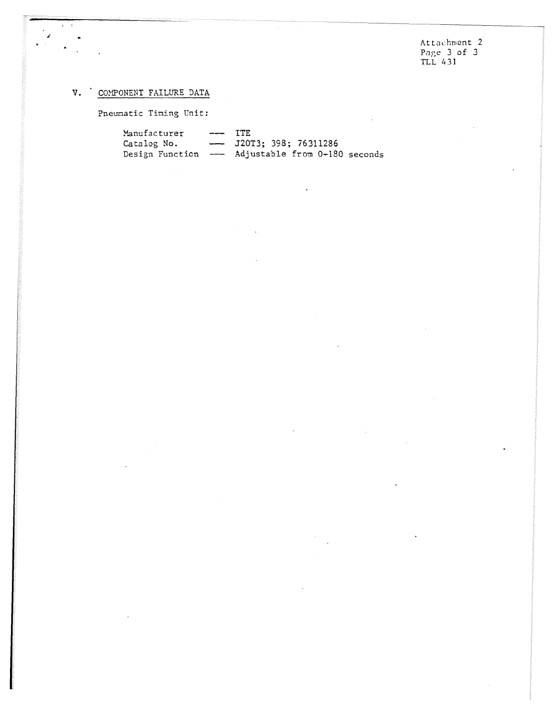Attachment 2 Page 3 of 3 TLL 431

# V. COMPONENT FAILURE DATA

 $\ell \in \mathcal{T}$ 

 $\mathscr{L}$  $\frac{1}{2}$  $\ddot{\phantom{1}}$ 

Pneumatic Timing Unit:

| Manufacturer | $--- TTF$ |                                                 |
|--------------|-----------|-------------------------------------------------|
| Catalog No.  |           | $-$ J20T3; 398; 76311286                        |
|              |           | Design Function - Adjustable from 0-180 seconds |

 $\mathcal{A}$